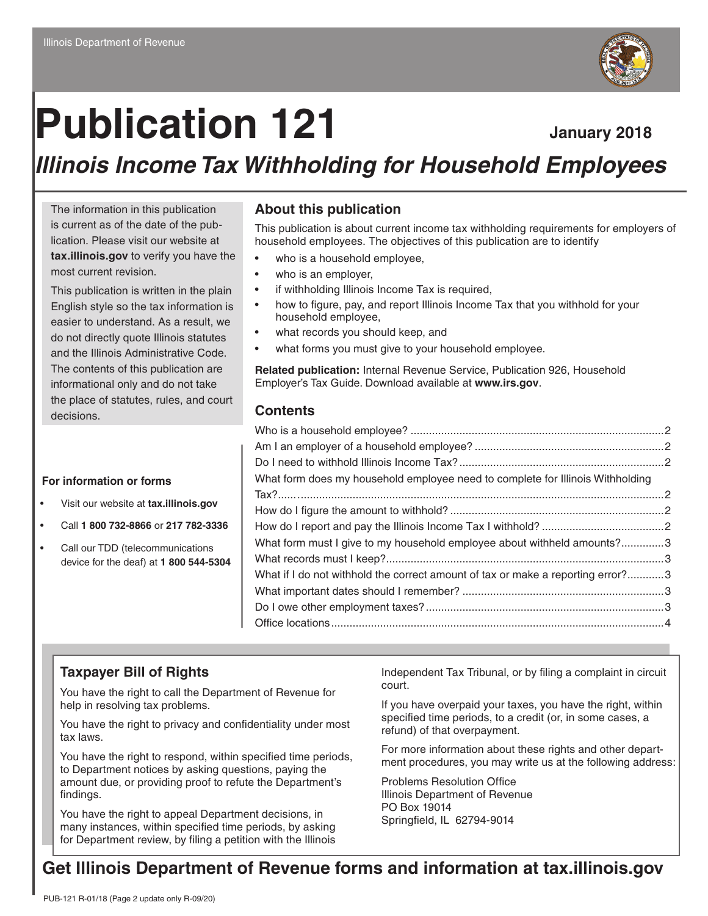# **Publication 121 January 2018**

# *Illinois Income Tax Withholding for Household Employees*

The information in this publication is current as of the date of the publication. Please visit our website at **tax.illinois.gov** to verify you have the most current revision.

This publication is written in the plain English style so the tax information is easier to understand. As a result, we do not directly quote Illinois statutes and the Illinois Administrative Code. The contents of this publication are informational only and do not take the place of statutes, rules, and court decisions.

#### **For information or forms**

- Visit our website at **tax.illinois.gov**
- Call **1 800 732-8866** or **217 782-3336**
- Call our TDD (telecommunications device for the deaf) at **1 800 544-5304**

#### **About this publication**

This publication is about current income tax withholding requirements for employers of household employees. The objectives of this publication are to identify

- who is a household employee,
- who is an employer,
- if withholding Illinois Income Tax is required,
- how to figure, pay, and report Illinois Income Tax that you withhold for your household employee,
- what records you should keep, and
- what forms you must give to your household employee.

**Related publication:** Internal Revenue Service, Publication 926, Household Employer's Tax Guide. Download available at **www.irs.gov**.

#### **Contents**

| What form does my household employee need to complete for Illinois Withholding  |  |
|---------------------------------------------------------------------------------|--|
|                                                                                 |  |
|                                                                                 |  |
|                                                                                 |  |
| What form must I give to my household employee about withheld amounts?3         |  |
|                                                                                 |  |
| What if I do not withhold the correct amount of tax or make a reporting error?3 |  |
|                                                                                 |  |
|                                                                                 |  |
|                                                                                 |  |
|                                                                                 |  |

#### **Taxpayer Bill of Rights**

You have the right to call the Department of Revenue for help in resolving tax problems.

You have the right to privacy and confidentiality under most tax laws.

You have the right to respond, within specified time periods, to Department notices by asking questions, paying the amount due, or providing proof to refute the Department's findings.

You have the right to appeal Department decisions, in many instances, within specified time periods, by asking for Department review, by filing a petition with the Illinois

Independent Tax Tribunal, or by filing a complaint in circuit court.

If you have overpaid your taxes, you have the right, within specified time periods, to a credit (or, in some cases, a refund) of that overpayment.

For more information about these rights and other department procedures, you may write us at the following address:

Problems Resolution Office Illinois Department of Revenue PO Box 19014 Springfield, IL 62794-9014

#### **Get Illinois Department of Revenue forms and information at tax.illinois.gov**

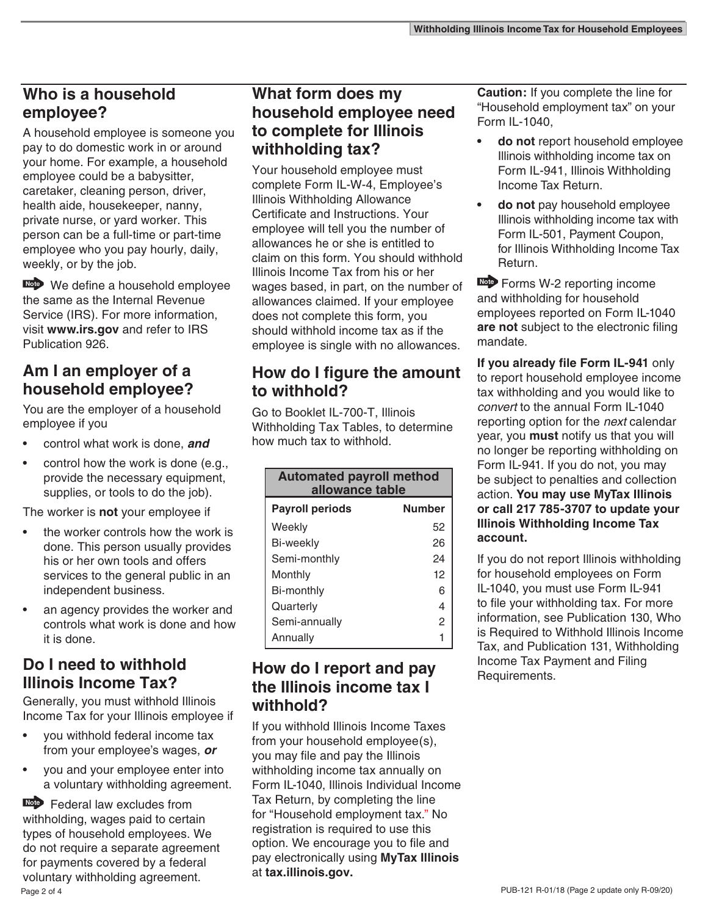#### **Who is a household employee?**

A household employee is someone you pay to do domestic work in or around your home. For example, a household employee could be a babysitter, caretaker, cleaning person, driver, health aide, housekeeper, nanny, private nurse, or yard worker. This person can be a full-time or part-time employee who you pay hourly, daily, weekly, or by the job.

Note We define a household employee the same as the Internal Revenue Service (IRS). For more information, visit **www.irs.gov** and refer to IRS Publication 926.

#### **Am I an employer of a household employee?**

You are the employer of a household employee if you

- control what work is done, *and*
- control how the work is done (e.g., provide the necessary equipment, supplies, or tools to do the job).

The worker is **not** your employee if

- the worker controls how the work is done. This person usually provides his or her own tools and offers services to the general public in an independent business.
- an agency provides the worker and controls what work is done and how it is done.

#### **Do I need to withhold Illinois Income Tax?**

Generally, you must withhold Illinois Income Tax for your Illinois employee if

- you withhold federal income tax from your employee's wages, *or*
- you and your employee enter into a voluntary withholding agreement.

Page 2 of 4 **Note** Federal law excludes from withholding, wages paid to certain types of household employees. We do not require a separate agreement for payments covered by a federal voluntary withholding agreement.

#### **What form does my household employee need to complete for Illinois withholding tax?**

Your household employee must complete Form IL-W-4, Employee's Illinois Withholding Allowance Certificate and Instructions. Your employee will tell you the number of allowances he or she is entitled to claim on this form. You should withhold Illinois Income Tax from his or her wages based, in part, on the number of allowances claimed. If your employee does not complete this form, you should withhold income tax as if the employee is single with no allowances.

# **How do I figure the amount to withhold?**

Go to Booklet IL-700-T, Illinois Withholding Tax Tables, to determine how much tax to withhold.

| <b>Automated payroll method</b><br>allowance table |                |
|----------------------------------------------------|----------------|
| <b>Payroll periods</b>                             | <b>Number</b>  |
| Weekly                                             | 52             |
| Bi-weekly                                          | 26             |
| Semi-monthly                                       | 24             |
| Monthly                                            | 12             |
| Bi-monthly                                         | 6              |
| Quarterly                                          | 4              |
| Semi-annually                                      | $\mathfrak{p}$ |
| Annually                                           |                |

#### **How do I report and pay the Illinois income tax I withhold?**

If you withhold Illinois Income Taxes from your household employee(s), you may file and pay the Illinois withholding income tax annually on Form IL-1040, Illinois Individual Income Tax Return, by completing the line for "Household employment tax." No registration is required to use this option. We encourage you to file and pay electronically using **MyTax Illinois**  at **tax.illinois.gov.**

**Caution:** If you complete the line for "Household employment tax" on your Form IL-1040,

- **• do not** report household employee Illinois withholding income tax on Form IL-941, Illinois Withholding Income Tax Return.
- **• do not** pay household employee Illinois withholding income tax with Form IL-501, Payment Coupon, for Illinois Withholding Income Tax Return.

**Note** Forms W-2 reporting income and withholding for household employees reported on Form IL-1040 **are not** subject to the electronic filing mandate.

**If you already file Form IL-941** only to report household employee income tax withholding and you would like to *convert* to the annual Form IL-1040 reporting option for the *next* calendar year, you **must** notify us that you will no longer be reporting withholding on Form IL-941. If you do not, you may be subject to penalties and collection action. **You may use MyTax Illinois or call 217 785-3707 to update your Illinois Withholding Income Tax account.** 

If you do not report Illinois withholding for household employees on Form IL-1040, you must use Form IL-941 to file your withholding tax. For more information, see Publication 130, Who is Required to Withhold Illinois Income Tax, and Publication 131, Withholding Income Tax Payment and Filing Requirements.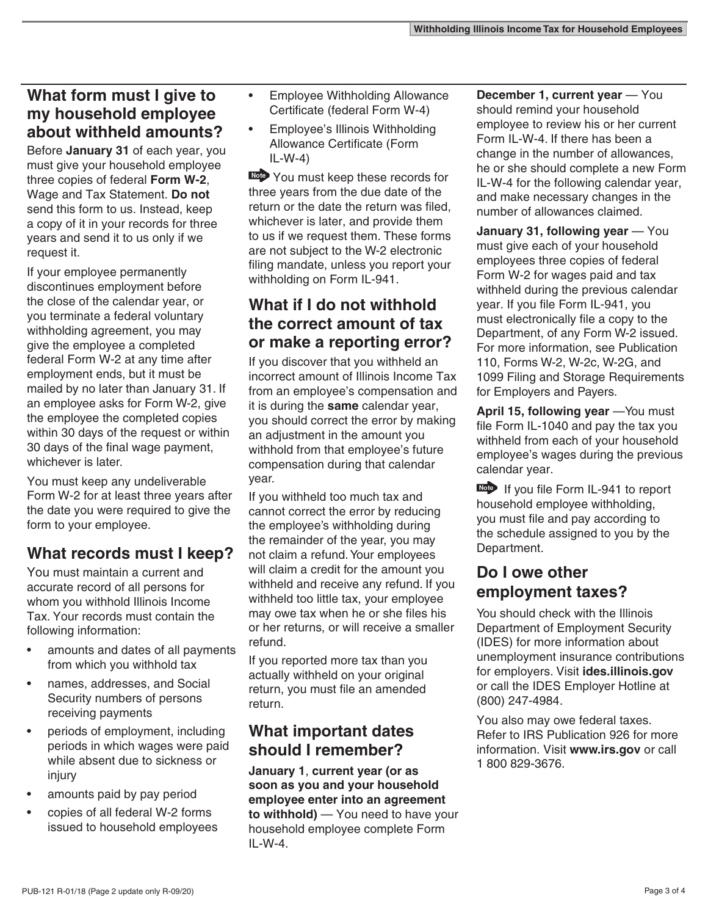#### **What form must I give to my household employee about withheld amounts?**

Before **January 31** of each year, you must give your household employee three copies of federal **Form W-2**, Wage and Tax Statement. **Do not** send this form to us. Instead, keep a copy of it in your records for three years and send it to us only if we request it.

If your employee permanently discontinues employment before the close of the calendar year, or you terminate a federal voluntary withholding agreement, you may give the employee a completed federal Form W-2 at any time after employment ends, but it must be mailed by no later than January 31. If an employee asks for Form W-2, give the employee the completed copies within 30 days of the request or within 30 days of the final wage payment, whichever is later.

You must keep any undeliverable Form W-2 for at least three years after the date you were required to give the form to your employee.

# **What records must I keep?**

You must maintain a current and accurate record of all persons for whom you withhold Illinois Income Tax. Your records must contain the following information:

- amounts and dates of all payments from which you withhold tax
- names, addresses, and Social Security numbers of persons receiving payments
- periods of employment, including periods in which wages were paid while absent due to sickness or injury
- amounts paid by pay period
- copies of all federal W-2 forms issued to household employees
- Employee Withholding Allowance Certificate (federal Form W-4)
- Employee's Illinois Withholding Allowance Certificate (Form IL-W-4)

 You must keep these records for three years from the due date of the return or the date the return was filed, whichever is later, and provide them to us if we request them. These forms are not subject to the W-2 electronic filing mandate, unless you report your withholding on Form IL-941.

# **What if I do not withhold the correct amount of tax or make a reporting error?**

If you discover that you withheld an incorrect amount of Illinois Income Tax from an employee's compensation and it is during the **same** calendar year, you should correct the error by making an adjustment in the amount you withhold from that employee's future compensation during that calendar year.

If you withheld too much tax and cannot correct the error by reducing the employee's withholding during the remainder of the year, you may not claim a refund. Your employees will claim a credit for the amount you withheld and receive any refund. If you withheld too little tax, your employee may owe tax when he or she files his or her returns, or will receive a smaller refund.

If you reported more tax than you actually withheld on your original return, you must file an amended return.

# **What important dates should I remember?**

**January 1**, **current year (or as soon as you and your household employee enter into an agreement to withhold)** — You need to have your household employee complete Form  $II - W - 4$ 

**December 1, current year** — You should remind your household employee to review his or her current Form IL-W-4. If there has been a change in the number of allowances, he or she should complete a new Form IL-W-4 for the following calendar year, and make necessary changes in the number of allowances claimed.

**January 31, following year** — You must give each of your household employees three copies of federal Form W-2 for wages paid and tax withheld during the previous calendar year. If you file Form IL-941, you must electronically file a copy to the Department, of any Form W-2 issued. For more information, see Publication 110, Forms W-2, W-2c, W-2G, and 1099 Filing and Storage Requirements for Employers and Payers.

April 15, following year – You must file Form IL-1040 and pay the tax you withheld from each of your household employee's wages during the previous calendar year.

**Note** If you file Form IL-941 to report household employee withholding, you must file and pay according to the schedule assigned to you by the Department.

# **Do I owe other employment taxes?**

You should check with the Illinois Department of Employment Security (IDES) for more information about unemployment insurance contributions for employers. Visit **ides.illinois.gov**  or call the IDES Employer Hotline at (800) 247-4984.

You also may owe federal taxes. Refer to IRS Publication 926 for more information. Visit **www.irs.gov** or call 1 800 829-3676.